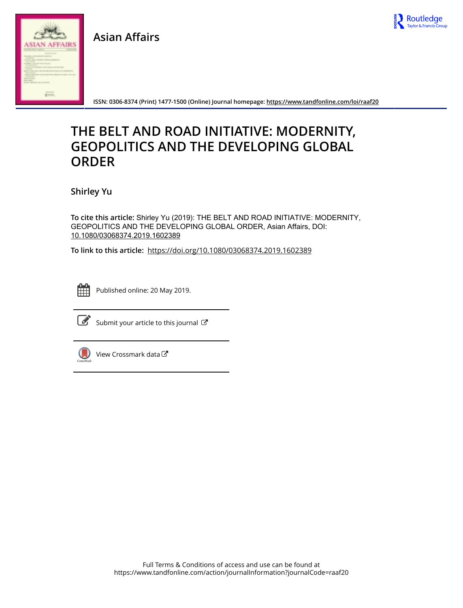

**Asian Affairs**



**ISSN: 0306-8374 (Print) 1477-1500 (Online) Journal homepage:<https://www.tandfonline.com/loi/raaf20>**

# **THE BELT AND ROAD INITIATIVE: MODERNITY, GEOPOLITICS AND THE DEVELOPING GLOBAL ORDER**

**Shirley Yu**

**To cite this article:** Shirley Yu (2019): THE BELT AND ROAD INITIATIVE: MODERNITY, GEOPOLITICS AND THE DEVELOPING GLOBAL ORDER, Asian Affairs, DOI: [10.1080/03068374.2019.1602389](https://www.tandfonline.com/action/showCitFormats?doi=10.1080/03068374.2019.1602389)

**To link to this article:** <https://doi.org/10.1080/03068374.2019.1602389>



Published online: 20 May 2019.



 $\overrightarrow{S}$  [Submit your article to this journal](https://www.tandfonline.com/action/authorSubmission?journalCode=raaf20&show=instructions)  $\overrightarrow{S}$ 



[View Crossmark data](http://crossmark.crossref.org/dialog/?doi=10.1080/03068374.2019.1602389&domain=pdf&date_stamp=2019-05-20)<sup>で</sup>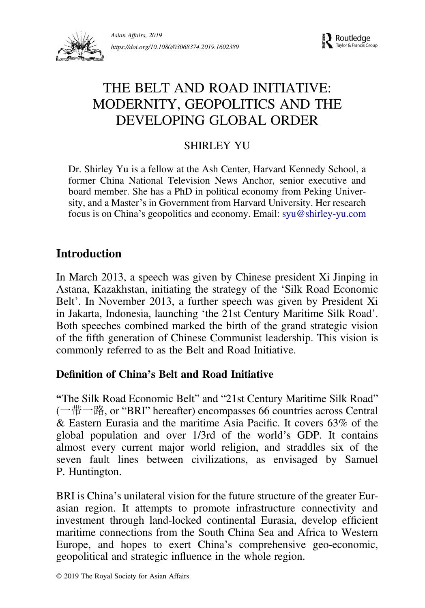Asian Affairs, 2019 https://doi.org/10.1080/03068374.2019.1602389



# THE BELT AND ROAD INITIATIVE: MODERNITY, GEOPOLITICS AND THE DEVELOPING GLOBAL ORDER

# SHIRLEY YU

Dr. Shirley Yu is a fellow at the Ash Center, Harvard Kennedy School, a former China National Television News Anchor, senior executive and board member. She has a PhD in political economy from Peking University, and a Master's in Government from Harvard University. Her research focus is on China's geopolitics and economy. Email: [syu@shirley-yu.com](https://doi.org/syu@shirley-yu.com)

# Introduction

In March 2013, a speech was given by Chinese president Xi Jinping in Astana, Kazakhstan, initiating the strategy of the 'Silk Road Economic Belt'. In November 2013, a further speech was given by President Xi in Jakarta, Indonesia, launching 'the 21st Century Maritime Silk Road'. Both speeches combined marked the birth of the grand strategic vision of the fifth generation of Chinese Communist leadership. This vision is commonly referred to as the Belt and Road Initiative.

# Definition of China's Belt and Road Initiative

"The Silk Road Economic Belt" and "21st Century Maritime Silk Road" (一带一路, or "BRI" hereafter) encompasses 66 countries across Central & Eastern Eurasia and the maritime Asia Pacific. It covers 63% of the global population and over 1/3rd of the world's GDP. It contains almost every current major world religion, and straddles six of the seven fault lines between civilizations, as envisaged by Samuel P. Huntington.

BRI is China's unilateral vision for the future structure of the greater Eurasian region. It attempts to promote infrastructure connectivity and investment through land-locked continental Eurasia, develop efficient maritime connections from the South China Sea and Africa to Western Europe, and hopes to exert China's comprehensive geo-economic, geopolitical and strategic influence in the whole region.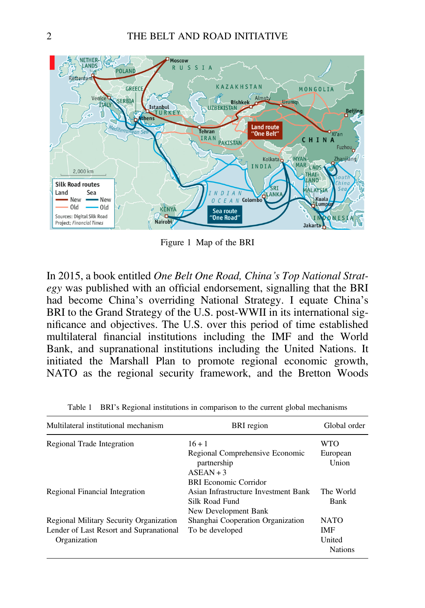

Figure 1 Map of the BRI

In 2015, a book entitled One Belt One Road, China's Top National Strategy was published with an official endorsement, signalling that the BRI had become China's overriding National Strategy. I equate China's BRI to the Grand Strategy of the U.S. post-WWII in its international significance and objectives. The U.S. over this period of time established multilateral financial institutions including the IMF and the World Bank, and supranational institutions including the United Nations. It initiated the Marshall Plan to promote regional economic growth, NATO as the regional security framework, and the Bretton Woods

| Multilateral institutional mechanism                    | BRI region                           | Global order   |
|---------------------------------------------------------|--------------------------------------|----------------|
| Regional Trade Integration                              | $16 + 1$                             | <b>WTO</b>     |
|                                                         | Regional Comprehensive Economic      | European       |
|                                                         | partnership                          | Union          |
|                                                         | $ASEAN + 3$                          |                |
|                                                         | <b>BRI</b> Economic Corridor         |                |
| Regional Financial Integration                          | Asian Infrastructure Investment Bank | The World      |
|                                                         | Silk Road Fund                       | <b>Bank</b>    |
|                                                         | New Development Bank                 |                |
| Regional Military Security Organization                 | Shanghai Cooperation Organization    | <b>NATO</b>    |
| Lender of Last Resort and Supranational<br>Organization | To be developed                      | IMF            |
|                                                         |                                      | United         |
|                                                         |                                      | <b>Nations</b> |

Table 1 BRI's Regional institutions in comparison to the current global mechanisms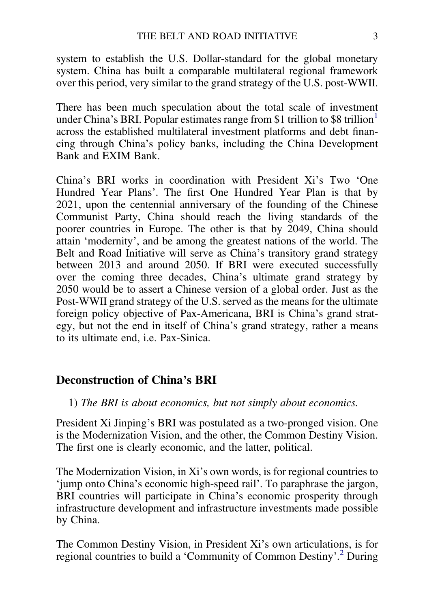system to establish the U.S. Dollar-standard for the global monetary system. China has built a comparable multilateral regional framework over this period, very similar to the grand strategy of the U.S. post-WWII.

There has been much speculation about the total scale of investment under China's BRI. Popular estimates range from \$[1](#page-14-0) trillion to \$8 trillion<sup>1</sup> across the established multilateral investment platforms and debt financing through China's policy banks, including the China Development Bank and EXIM Bank.

China's BRI works in coordination with President Xi's Two 'One Hundred Year Plans'. The first One Hundred Year Plan is that by 2021, upon the centennial anniversary of the founding of the Chinese Communist Party, China should reach the living standards of the poorer countries in Europe. The other is that by 2049, China should attain 'modernity', and be among the greatest nations of the world. The Belt and Road Initiative will serve as China's transitory grand strategy between 2013 and around 2050. If BRI were executed successfully over the coming three decades, China's ultimate grand strategy by 2050 would be to assert a Chinese version of a global order. Just as the Post-WWII grand strategy of the U.S. served as the means for the ultimate foreign policy objective of Pax-Americana, BRI is China's grand strategy, but not the end in itself of China's grand strategy, rather a means to its ultimate end, i.e. Pax-Sinica.

# Deconstruction of China's BRI

1) The BRI is about economics, but not simply about economics.

President Xi Jinping's BRI was postulated as a two-pronged vision. One is the Modernization Vision, and the other, the Common Destiny Vision. The first one is clearly economic, and the latter, political.

The Modernization Vision, in Xi's own words, is for regional countries to 'jump onto China's economic high-speed rail'. To paraphrase the jargon, BRI countries will participate in China's economic prosperity through infrastructure development and infrastructure investments made possible by China.

The Common Destiny Vision, in President Xi's own articulations, is for regional countries to build a 'Community of Common Destiny'. [2](#page-14-0) During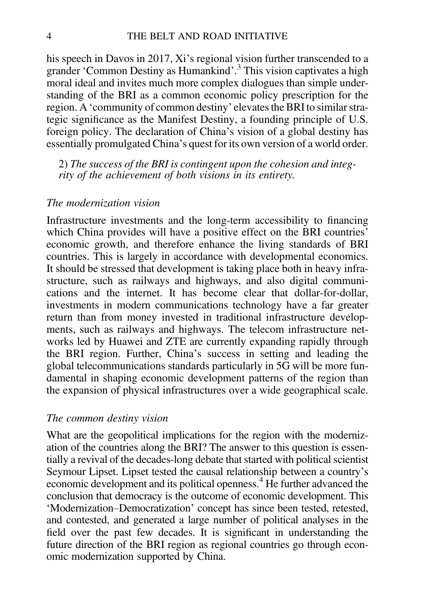his speech in Davos in 2017, Xi's regional vision further transcended to a grander 'Common Destiny as Humankind'. [3](#page-14-0) This vision captivates a high moral ideal and invites much more complex dialogues than simple understanding of the BRI as a common economic policy prescription for the region. A 'community of common destiny' elevates the BRI to similar strategic significance as the Manifest Destiny, a founding principle of U.S. foreign policy. The declaration of China's vision of a global destiny has essentially promulgated China's quest for its own version of a world order.

2) The success of the BRI is contingent upon the cohesion and integrity of the achievement of both visions in its entirety.

#### The modernization vision

Infrastructure investments and the long-term accessibility to financing which China provides will have a positive effect on the BRI countries' economic growth, and therefore enhance the living standards of BRI countries. This is largely in accordance with developmental economics. It should be stressed that development is taking place both in heavy infrastructure, such as railways and highways, and also digital communications and the internet. It has become clear that dollar-for-dollar, investments in modern communications technology have a far greater return than from money invested in traditional infrastructure developments, such as railways and highways. The telecom infrastructure networks led by Huawei and ZTE are currently expanding rapidly through the BRI region. Further, China's success in setting and leading the global telecommunications standards particularly in 5G will be more fundamental in shaping economic development patterns of the region than the expansion of physical infrastructures over a wide geographical scale.

#### The common destiny vision

What are the geopolitical implications for the region with the modernization of the countries along the BRI? The answer to this question is essentially a revival of the decades-long debate that started with political scientist Seymour Lipset. Lipset tested the causal relationship between a country's economic development and its political openness.<sup>4</sup> He further advanced the conclusion that democracy is the outcome of economic development. This 'Modernization–Democratization' concept has since been tested, retested, and contested, and generated a large number of political analyses in the field over the past few decades. It is significant in understanding the future direction of the BRI region as regional countries go through economic modernization supported by China.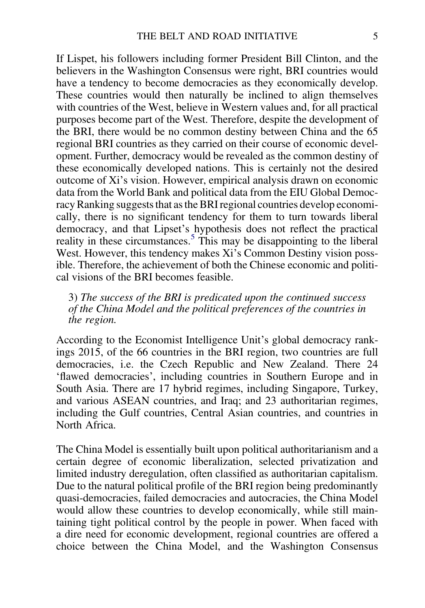If Lispet, his followers including former President Bill Clinton, and the believers in the Washington Consensus were right, BRI countries would have a tendency to become democracies as they economically develop. These countries would then naturally be inclined to align themselves with countries of the West, believe in Western values and, for all practical purposes become part of the West. Therefore, despite the development of the BRI, there would be no common destiny between China and the 65 regional BRI countries as they carried on their course of economic development. Further, democracy would be revealed as the common destiny of these economically developed nations. This is certainly not the desired outcome of Xi's vision. However, empirical analysis drawn on economic data from the World Bank and political data from the EIU Global Democracy Ranking suggests that as the BRI regional countries develop economically, there is no significant tendency for them to turn towards liberal democracy, and that Lipset's hypothesis does not reflect the practical reality in these circumstances.<sup>[5](#page-14-0)</sup> This may be disappointing to the liberal West. However, this tendency makes Xi's Common Destiny vision possible. Therefore, the achievement of both the Chinese economic and political visions of the BRI becomes feasible.

3) The success of the BRI is predicated upon the continued success of the China Model and the political preferences of the countries in the region.

According to the Economist Intelligence Unit's global democracy rankings 2015, of the 66 countries in the BRI region, two countries are full democracies, i.e. the Czech Republic and New Zealand. There 24 'flawed democracies', including countries in Southern Europe and in South Asia. There are 17 hybrid regimes, including Singapore, Turkey, and various ASEAN countries, and Iraq; and 23 authoritarian regimes, including the Gulf countries, Central Asian countries, and countries in North Africa.

The China Model is essentially built upon political authoritarianism and a certain degree of economic liberalization, selected privatization and limited industry deregulation, often classified as authoritarian capitalism. Due to the natural political profile of the BRI region being predominantly quasi-democracies, failed democracies and autocracies, the China Model would allow these countries to develop economically, while still maintaining tight political control by the people in power. When faced with a dire need for economic development, regional countries are offered a choice between the China Model, and the Washington Consensus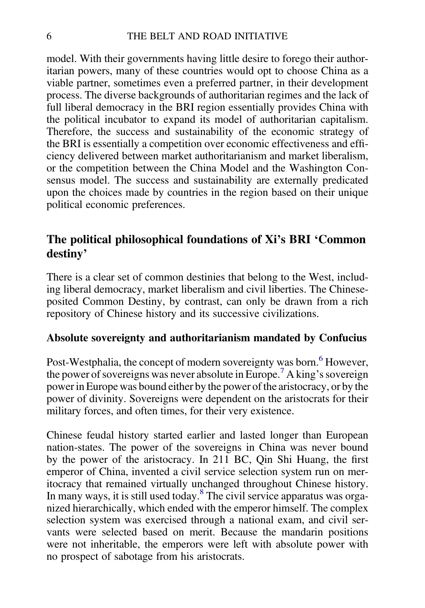model. With their governments having little desire to forego their authoritarian powers, many of these countries would opt to choose China as a viable partner, sometimes even a preferred partner, in their development process. The diverse backgrounds of authoritarian regimes and the lack of full liberal democracy in the BRI region essentially provides China with the political incubator to expand its model of authoritarian capitalism. Therefore, the success and sustainability of the economic strategy of the BRI is essentially a competition over economic effectiveness and efficiency delivered between market authoritarianism and market liberalism, or the competition between the China Model and the Washington Consensus model. The success and sustainability are externally predicated upon the choices made by countries in the region based on their unique political economic preferences.

# The political philosophical foundations of Xi's BRI 'Common destiny'

There is a clear set of common destinies that belong to the West, including liberal democracy, market liberalism and civil liberties. The Chineseposited Common Destiny, by contrast, can only be drawn from a rich repository of Chinese history and its successive civilizations.

#### Absolute sovereignty and authoritarianism mandated by Confucius

Post-Westphalia, the concept of modern sovereignty was born.<sup>[6](#page-14-0)</sup> However, the power of sovereigns was never absolute in Europe.[7](#page-14-0) A king's sovereign power in Europe was bound either by the power of the aristocracy, or by the power of divinity. Sovereigns were dependent on the aristocrats for their military forces, and often times, for their very existence.

Chinese feudal history started earlier and lasted longer than European nation-states. The power of the sovereigns in China was never bound by the power of the aristocracy. In 211 BC, Qin Shi Huang, the first emperor of China, invented a civil service selection system run on meritocracy that remained virtually unchanged throughout Chinese history. In many ways, it is still used today.<sup>[8](#page-15-0)</sup> The civil service apparatus was organized hierarchically, which ended with the emperor himself. The complex selection system was exercised through a national exam, and civil servants were selected based on merit. Because the mandarin positions were not inheritable, the emperors were left with absolute power with no prospect of sabotage from his aristocrats.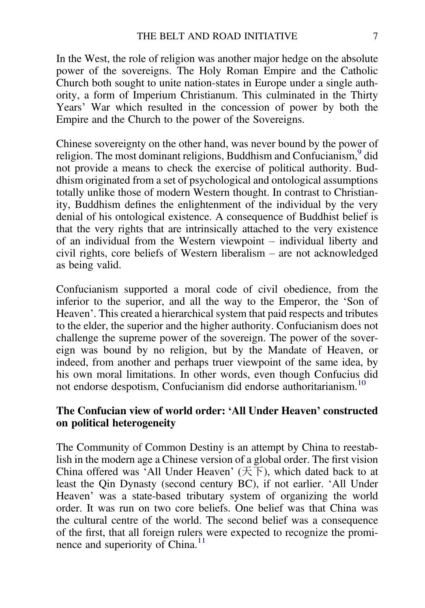In the West, the role of religion was another major hedge on the absolute power of the sovereigns. The Holy Roman Empire and the Catholic Church both sought to unite nation-states in Europe under a single authority, a form of Imperium Christianum. This culminated in the Thirty Years' War which resulted in the concession of power by both the Empire and the Church to the power of the Sovereigns.

Chinese sovereignty on the other hand, was never bound by the power of religion. The most dominant religions, Buddhism and Confucianism,<sup>[9](#page-15-0)</sup> did not provide a means to check the exercise of political authority. Buddhism originated from a set of psychological and ontological assumptions totally unlike those of modern Western thought. In contrast to Christianity, Buddhism defines the enlightenment of the individual by the very denial of his ontological existence. A consequence of Buddhist belief is that the very rights that are intrinsically attached to the very existence of an individual from the Western viewpoint – individual liberty and civil rights, core beliefs of Western liberalism – are not acknowledged as being valid.

Confucianism supported a moral code of civil obedience, from the inferior to the superior, and all the way to the Emperor, the 'Son of Heaven'. This created a hierarchical system that paid respects and tributes to the elder, the superior and the higher authority. Confucianism does not challenge the supreme power of the sovereign. The power of the sovereign was bound by no religion, but by the Mandate of Heaven, or indeed, from another and perhaps truer viewpoint of the same idea, by his own moral limitations. In other words, even though Confucius did not endorse despotism, Confucianism did endorse authoritarianism.<sup>[10](#page-15-0)</sup>

### The Confucian view of world order: 'All Under Heaven' constructed on political heterogeneity

The Community of Common Destiny is an attempt by China to reestablish in the modern age a Chinese version of a global order. The first vision China offered was 'All Under Heaven'  $(\overline{\mathcal{F}}\overline{\mathcal{F}})$ , which dated back to at least the Qin Dynasty (second century BC), if not earlier. 'All Under Heaven' was a state-based tributary system of organizing the world order. It was run on two core beliefs. One belief was that China was the cultural centre of the world. The second belief was a consequence of the first, that all foreign rulers were expected to recognize the promi-nence and superiority of China.<sup>[11](#page-15-0)</sup>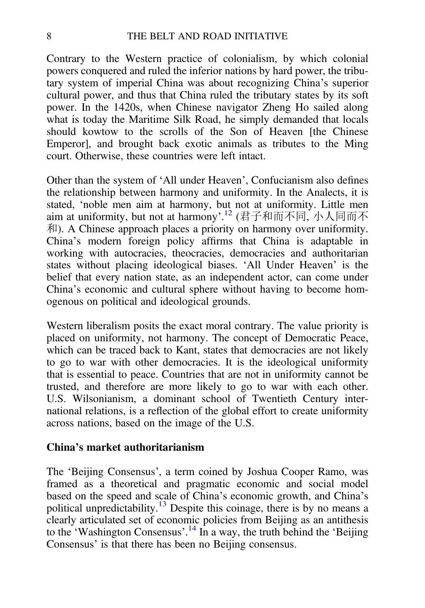Contrary to the Western practice of colonialism, by which colonial powers conquered and ruled the inferior nations by hard power, the tributary system of imperial China was about recognizing China's superior cultural power, and thus that China ruled the tributary states by its soft power. In the 1420s, when Chinese navigator Zheng Ho sailed along what is today the Maritime Silk Road, he simply demanded that locals should kowtow to the scrolls of the Son of Heaven [the Chinese Emperor], and brought back exotic animals as tributes to the Ming court. Otherwise, these countries were left intact.

Other than the system of 'All under Heaven', Confucianism also defines the relationship between harmony and uniformity. In the Analects, it is stated, 'noble men aim at harmony, but not at uniformity. Little men aim at uniformity, but not at harmony'.<sup>[12](#page-15-0)</sup> (君子和而不同, 小人同而不 和). A Chinese approach places a priority on harmony over uniformity. China's modern foreign policy affirms that China is adaptable in working with autocracies, theocracies, democracies and authoritarian states without placing ideological biases. 'All Under Heaven' is the belief that every nation state, as an independent actor, can come under China's economic and cultural sphere without having to become homogenous on political and ideological grounds.

Western liberalism posits the exact moral contrary. The value priority is placed on uniformity, not harmony. The concept of Democratic Peace, which can be traced back to Kant, states that democracies are not likely to go to war with other democracies. It is the ideological uniformity that is essential to peace. Countries that are not in uniformity cannot be trusted, and therefore are more likely to go to war with each other. U.S. Wilsonianism, a dominant school of Twentieth Century international relations, is a reflection of the global effort to create uniformity across nations, based on the image of the U.S.

#### China's market authoritarianism

The 'Beijing Consensus', a term coined by Joshua Cooper Ramo, was framed as a theoretical and pragmatic economic and social model based on the speed and scale of China's economic growth, and China's political unpredictability.[13](#page-15-0) Despite this coinage, there is by no means a clearly articulated set of economic policies from Beijing as an antithesis to the 'Washington Consensus'.<sup>[14](#page-15-0)</sup> In a way, the truth behind the 'Beijing Consensus' is that there has been no Beijing consensus.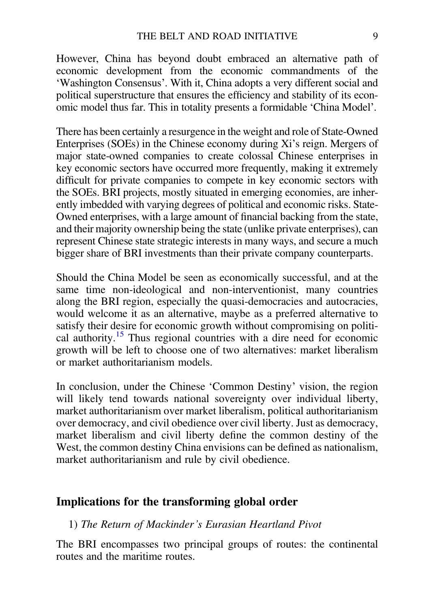However, China has beyond doubt embraced an alternative path of economic development from the economic commandments of the 'Washington Consensus'. With it, China adopts a very different social and political superstructure that ensures the efficiency and stability of its economic model thus far. This in totality presents a formidable 'China Model'.

There has been certainly a resurgence in the weight and role of State-Owned Enterprises (SOEs) in the Chinese economy during Xi's reign. Mergers of major state-owned companies to create colossal Chinese enterprises in key economic sectors have occurred more frequently, making it extremely difficult for private companies to compete in key economic sectors with the SOEs. BRI projects, mostly situated in emerging economies, are inherently imbedded with varying degrees of political and economic risks. State-Owned enterprises, with a large amount of financial backing from the state, and their majority ownership being the state (unlike private enterprises), can represent Chinese state strategic interests in many ways, and secure a much bigger share of BRI investments than their private company counterparts.

Should the China Model be seen as economically successful, and at the same time non-ideological and non-interventionist, many countries along the BRI region, especially the quasi-democracies and autocracies, would welcome it as an alternative, maybe as a preferred alternative to satisfy their desire for economic growth without compromising on political authority.[15](#page-15-0) Thus regional countries with a dire need for economic growth will be left to choose one of two alternatives: market liberalism or market authoritarianism models.

In conclusion, under the Chinese 'Common Destiny' vision, the region will likely tend towards national sovereignty over individual liberty, market authoritarianism over market liberalism, political authoritarianism over democracy, and civil obedience over civil liberty. Just as democracy, market liberalism and civil liberty define the common destiny of the West, the common destiny China envisions can be defined as nationalism, market authoritarianism and rule by civil obedience.

#### Implications for the transforming global order

#### 1) The Return of Mackinder's Eurasian Heartland Pivot

The BRI encompasses two principal groups of routes: the continental routes and the maritime routes.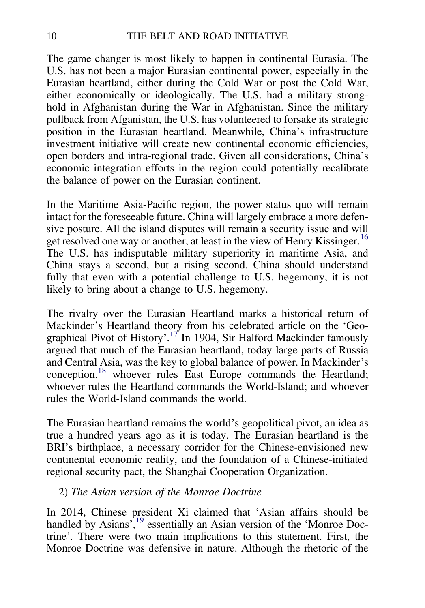The game changer is most likely to happen in continental Eurasia. The U.S. has not been a major Eurasian continental power, especially in the Eurasian heartland, either during the Cold War or post the Cold War, either economically or ideologically. The U.S. had a military stronghold in Afghanistan during the War in Afghanistan. Since the military pullback from Afganistan, the U.S. has volunteered to forsake its strategic position in the Eurasian heartland. Meanwhile, China's infrastructure investment initiative will create new continental economic efficiencies, open borders and intra-regional trade. Given all considerations, China's economic integration efforts in the region could potentially recalibrate the balance of power on the Eurasian continent.

In the Maritime Asia-Pacific region, the power status quo will remain intact for the foreseeable future. China will largely embrace a more defensive posture. All the island disputes will remain a security issue and will get resolved one way or another, at least in the view of Henry Kissinger.[16](#page-15-0) The U.S. has indisputable military superiority in maritime Asia, and China stays a second, but a rising second. China should understand fully that even with a potential challenge to U.S. hegemony, it is not likely to bring about a change to U.S. hegemony.

The rivalry over the Eurasian Heartland marks a historical return of Mackinder's Heartland theory from his celebrated article on the 'Geo-graphical Pivot of History'.<sup>[17](#page-15-0)</sup> In 1904, Sir Halford Mackinder famously argued that much of the Eurasian heartland, today large parts of Russia and Central Asia, was the key to global balance of power. In Mackinder's conception,<sup>[18](#page-15-0)</sup> whoever rules East Europe commands the Heartland; whoever rules the Heartland commands the World-Island; and whoever rules the World-Island commands the world.

The Eurasian heartland remains the world's geopolitical pivot, an idea as true a hundred years ago as it is today. The Eurasian heartland is the BRI's birthplace, a necessary corridor for the Chinese-envisioned new continental economic reality, and the foundation of a Chinese-initiated regional security pact, the Shanghai Cooperation Organization.

#### 2) The Asian version of the Monroe Doctrine

In 2014, Chinese president Xi claimed that 'Asian affairs should be handled by Asians<sup>5</sup>,<sup>[19](#page-15-0)</sup> essentially an Asian version of the 'Monroe Doctrine'. There were two main implications to this statement. First, the Monroe Doctrine was defensive in nature. Although the rhetoric of the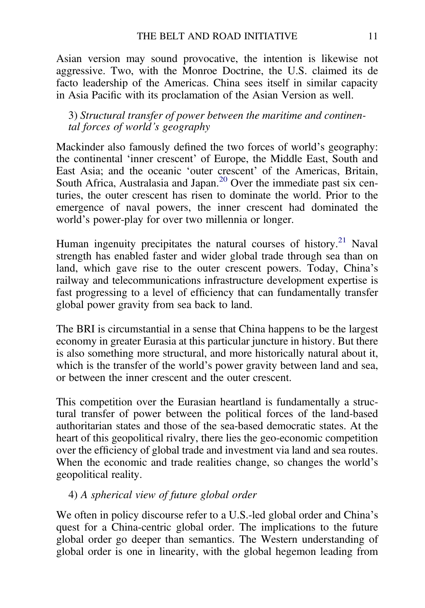Asian version may sound provocative, the intention is likewise not aggressive. Two, with the Monroe Doctrine, the U.S. claimed its de facto leadership of the Americas. China sees itself in similar capacity in Asia Pacific with its proclamation of the Asian Version as well.

3) Structural transfer of power between the maritime and continental forces of world's geography

Mackinder also famously defined the two forces of world's geography: the continental 'inner crescent' of Europe, the Middle East, South and East Asia; and the oceanic 'outer crescent' of the Americas, Britain, South Africa, Australasia and Japan.<sup>[20](#page-15-0)</sup> Over the immediate past six centuries, the outer crescent has risen to dominate the world. Prior to the emergence of naval powers, the inner crescent had dominated the world's power-play for over two millennia or longer.

Human ingenuity precipitates the natural courses of history.<sup>[21](#page-15-0)</sup> Naval strength has enabled faster and wider global trade through sea than on land, which gave rise to the outer crescent powers. Today, China's railway and telecommunications infrastructure development expertise is fast progressing to a level of efficiency that can fundamentally transfer global power gravity from sea back to land.

The BRI is circumstantial in a sense that China happens to be the largest economy in greater Eurasia at this particular juncture in history. But there is also something more structural, and more historically natural about it, which is the transfer of the world's power gravity between land and sea, or between the inner crescent and the outer crescent.

This competition over the Eurasian heartland is fundamentally a structural transfer of power between the political forces of the land-based authoritarian states and those of the sea-based democratic states. At the heart of this geopolitical rivalry, there lies the geo-economic competition over the efficiency of global trade and investment via land and sea routes. When the economic and trade realities change, so changes the world's geopolitical reality.

### 4) A spherical view of future global order

We often in policy discourse refer to a U.S.-led global order and China's quest for a China-centric global order. The implications to the future global order go deeper than semantics. The Western understanding of global order is one in linearity, with the global hegemon leading from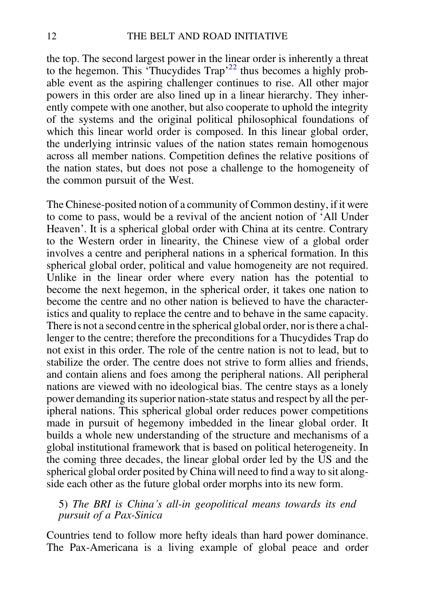the top. The second largest power in the linear order is inherently a threat to the hegemon. This 'Thucydides Trap' [22](#page-15-0) thus becomes a highly probable event as the aspiring challenger continues to rise. All other major powers in this order are also lined up in a linear hierarchy. They inherently compete with one another, but also cooperate to uphold the integrity of the systems and the original political philosophical foundations of which this linear world order is composed. In this linear global order, the underlying intrinsic values of the nation states remain homogenous across all member nations. Competition defines the relative positions of the nation states, but does not pose a challenge to the homogeneity of the common pursuit of the West.

The Chinese-posited notion of a community of Common destiny, if it were to come to pass, would be a revival of the ancient notion of 'All Under Heaven'. It is a spherical global order with China at its centre. Contrary to the Western order in linearity, the Chinese view of a global order involves a centre and peripheral nations in a spherical formation. In this spherical global order, political and value homogeneity are not required. Unlike in the linear order where every nation has the potential to become the next hegemon, in the spherical order, it takes one nation to become the centre and no other nation is believed to have the characteristics and quality to replace the centre and to behave in the same capacity. There is not a second centre in the spherical global order, nor is there a challenger to the centre; therefore the preconditions for a Thucydides Trap do not exist in this order. The role of the centre nation is not to lead, but to stabilize the order. The centre does not strive to form allies and friends, and contain aliens and foes among the peripheral nations. All peripheral nations are viewed with no ideological bias. The centre stays as a lonely power demanding its superior nation-state status and respect by all the peripheral nations. This spherical global order reduces power competitions made in pursuit of hegemony imbedded in the linear global order. It builds a whole new understanding of the structure and mechanisms of a global institutional framework that is based on political heterogeneity. In the coming three decades, the linear global order led by the US and the spherical global order posited by China will need to find a way to sit alongside each other as the future global order morphs into its new form.

# 5) The BRI is China's all-in geopolitical means towards its end pursuit of a Pax-Sinica

Countries tend to follow more hefty ideals than hard power dominance. The Pax-Americana is a living example of global peace and order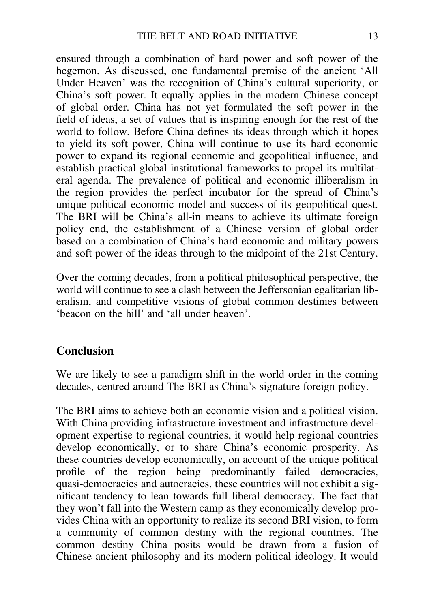ensured through a combination of hard power and soft power of the hegemon. As discussed, one fundamental premise of the ancient 'All Under Heaven' was the recognition of China's cultural superiority, or China's soft power. It equally applies in the modern Chinese concept of global order. China has not yet formulated the soft power in the field of ideas, a set of values that is inspiring enough for the rest of the world to follow. Before China defines its ideas through which it hopes to yield its soft power, China will continue to use its hard economic power to expand its regional economic and geopolitical influence, and establish practical global institutional frameworks to propel its multilateral agenda. The prevalence of political and economic illiberalism in the region provides the perfect incubator for the spread of China's unique political economic model and success of its geopolitical quest. The BRI will be China's all-in means to achieve its ultimate foreign policy end, the establishment of a Chinese version of global order based on a combination of China's hard economic and military powers and soft power of the ideas through to the midpoint of the 21st Century.

Over the coming decades, from a political philosophical perspective, the world will continue to see a clash between the Jeffersonian egalitarian liberalism, and competitive visions of global common destinies between 'beacon on the hill' and 'all under heaven'.

# **Conclusion**

We are likely to see a paradigm shift in the world order in the coming decades, centred around The BRI as China's signature foreign policy.

The BRI aims to achieve both an economic vision and a political vision. With China providing infrastructure investment and infrastructure development expertise to regional countries, it would help regional countries develop economically, or to share China's economic prosperity. As these countries develop economically, on account of the unique political profile of the region being predominantly failed democracies, quasi-democracies and autocracies, these countries will not exhibit a significant tendency to lean towards full liberal democracy. The fact that they won't fall into the Western camp as they economically develop provides China with an opportunity to realize its second BRI vision, to form a community of common destiny with the regional countries. The common destiny China posits would be drawn from a fusion of Chinese ancient philosophy and its modern political ideology. It would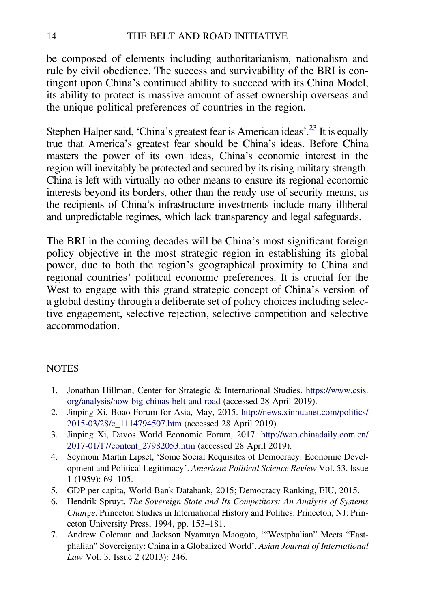<span id="page-14-0"></span>be composed of elements including authoritarianism, nationalism and rule by civil obedience. The success and survivability of the BRI is contingent upon China's continued ability to succeed with its China Model, its ability to protect is massive amount of asset ownership overseas and the unique political preferences of countries in the region.

Stephen Halper said, 'China's greatest fear is American ideas'.<sup>[23](#page-15-0)</sup> It is equally true that America's greatest fear should be China's ideas. Before China masters the power of its own ideas, China's economic interest in the region will inevitably be protected and secured by its rising military strength. China is left with virtually no other means to ensure its regional economic interests beyond its borders, other than the ready use of security means, as the recipients of China's infrastructure investments include many illiberal and unpredictable regimes, which lack transparency and legal safeguards.

The BRI in the coming decades will be China's most significant foreign policy objective in the most strategic region in establishing its global power, due to both the region's geographical proximity to China and regional countries' political economic preferences. It is crucial for the West to engage with this grand strategic concept of China's version of a global destiny through a deliberate set of policy choices including selective engagement, selective rejection, selective competition and selective accommodation.

#### **NOTES**

- 1. Jonathan Hillman, Center for Strategic & International Studies. [https://www.csis.](https://www.csis.org/analysis/how-big-chinas-belt-and-road) [org/analysis/how-big-chinas-belt-and-road](https://www.csis.org/analysis/how-big-chinas-belt-and-road) (accessed 28 April 2019).
- 2. Jinping Xi, Boao Forum for Asia, May, 2015. [http://news.xinhuanet.com/politics/](http://news.xinhuanet.com/politics/2015-03/28/c_1114794507.htm) [2015-03/28/c\\_1114794507.htm](http://news.xinhuanet.com/politics/2015-03/28/c_1114794507.htm) (accessed 28 April 2019).
- 3. Jinping Xi, Davos World Economic Forum, 2017. [http://wap.chinadaily.com.cn/](http://wap.chinadaily.com.cn/2017-01/17/content_27982053.htm) [2017-01/17/content\\_27982053.htm](http://wap.chinadaily.com.cn/2017-01/17/content_27982053.htm) (accessed 28 April 2019).
- 4. Seymour Martin Lipset, 'Some Social Requisites of Democracy: Economic Development and Political Legitimacy'. American Political Science Review Vol. 53. Issue 1 (1959): 69–105.
- 5. GDP per capita, World Bank Databank, 2015; Democracy Ranking, EIU, 2015.
- 6. Hendrik Spruyt, The Sovereign State and Its Competitors: An Analysis of Systems Change. Princeton Studies in International History and Politics. Princeton, NJ: Princeton University Press, 1994, pp. 153–181.
- 7. Andrew Coleman and Jackson Nyamuya Maogoto, '"Westphalian" Meets "Eastphalian" Sovereignty: China in a Globalized World'. Asian Journal of International Law Vol. 3. Issue 2 (2013): 246.